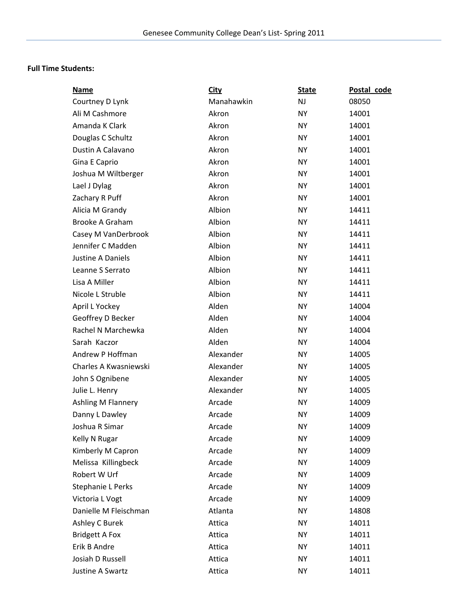## **Full Time Students:**

| <b>Name</b>              | <b>City</b> | <b>State</b> | Postal code |
|--------------------------|-------------|--------------|-------------|
| Courtney D Lynk          | Manahawkin  | <b>NJ</b>    | 08050       |
| Ali M Cashmore           | Akron       | <b>NY</b>    | 14001       |
| Amanda K Clark           | Akron       | <b>NY</b>    | 14001       |
| Douglas C Schultz        | Akron       | <b>NY</b>    | 14001       |
| Dustin A Calavano        | Akron       | <b>NY</b>    | 14001       |
| Gina E Caprio            | Akron       | <b>NY</b>    | 14001       |
| Joshua M Wiltberger      | Akron       | <b>NY</b>    | 14001       |
| Lael J Dylag             | Akron       | <b>NY</b>    | 14001       |
| Zachary R Puff           | Akron       | <b>NY</b>    | 14001       |
| Alicia M Grandy          | Albion      | <b>NY</b>    | 14411       |
| <b>Brooke A Graham</b>   | Albion      | <b>NY</b>    | 14411       |
| Casey M VanDerbrook      | Albion      | <b>NY</b>    | 14411       |
| Jennifer C Madden        | Albion      | <b>NY</b>    | 14411       |
| Justine A Daniels        | Albion      | <b>NY</b>    | 14411       |
| Leanne S Serrato         | Albion      | <b>NY</b>    | 14411       |
| Lisa A Miller            | Albion      | <b>NY</b>    | 14411       |
| Nicole L Struble         | Albion      | <b>NY</b>    | 14411       |
| April L Yockey           | Alden       | <b>NY</b>    | 14004       |
| Geoffrey D Becker        | Alden       | <b>NY</b>    | 14004       |
| Rachel N Marchewka       | Alden       | <b>NY</b>    | 14004       |
| Sarah Kaczor             | Alden       | <b>NY</b>    | 14004       |
| Andrew P Hoffman         | Alexander   | <b>NY</b>    | 14005       |
| Charles A Kwasniewski    | Alexander   | <b>NY</b>    | 14005       |
| John S Ognibene          | Alexander   | <b>NY</b>    | 14005       |
| Julie L. Henry           | Alexander   | <b>NY</b>    | 14005       |
| Ashling M Flannery       | Arcade      | <b>NY</b>    | 14009       |
| Danny L Dawley           | Arcade      | <b>NY</b>    | 14009       |
| Joshua R Simar           | Arcade      | NY           | 14009       |
| Kelly N Rugar            | Arcade      | <b>NY</b>    | 14009       |
| Kimberly M Capron        | Arcade      | <b>NY</b>    | 14009       |
| Melissa Killingbeck      | Arcade      | <b>NY</b>    | 14009       |
| Robert W Urf             | Arcade      | <b>NY</b>    | 14009       |
| <b>Stephanie L Perks</b> | Arcade      | <b>NY</b>    | 14009       |
| Victoria L Vogt          | Arcade      | <b>NY</b>    | 14009       |
| Danielle M Fleischman    | Atlanta     | <b>NY</b>    | 14808       |
| Ashley C Burek           | Attica      | <b>NY</b>    | 14011       |
| <b>Bridgett A Fox</b>    | Attica      | <b>NY</b>    | 14011       |
| Erik B Andre             | Attica      | <b>NY</b>    | 14011       |
| Josiah D Russell         | Attica      | <b>NY</b>    | 14011       |
| Justine A Swartz         | Attica      | <b>NY</b>    | 14011       |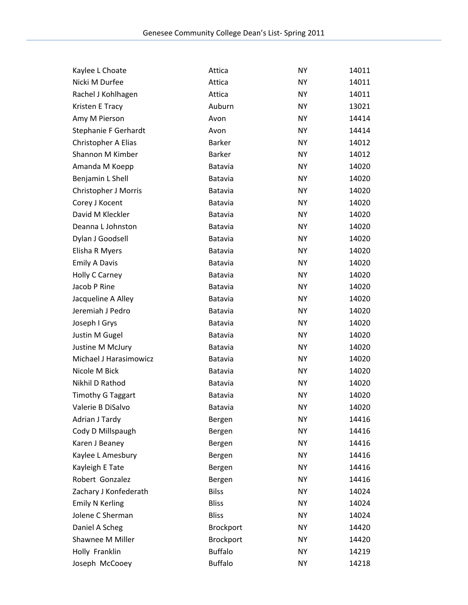| Kaylee L Choate          | Attica           | <b>NY</b> | 14011 |
|--------------------------|------------------|-----------|-------|
| Nicki M Durfee           | Attica           | <b>NY</b> | 14011 |
| Rachel J Kohlhagen       | Attica           | <b>NY</b> | 14011 |
| Kristen E Tracy          | Auburn           | <b>NY</b> | 13021 |
| Amy M Pierson            | Avon             | <b>NY</b> | 14414 |
| Stephanie F Gerhardt     | Avon             | <b>NY</b> | 14414 |
| Christopher A Elias      | <b>Barker</b>    | <b>NY</b> | 14012 |
| Shannon M Kimber         | <b>Barker</b>    | <b>NY</b> | 14012 |
| Amanda M Koepp           | Batavia          | <b>NY</b> | 14020 |
| Benjamin L Shell         | Batavia          | <b>NY</b> | 14020 |
| Christopher J Morris     | Batavia          | <b>NY</b> | 14020 |
| Corey J Kocent           | Batavia          | <b>NY</b> | 14020 |
| David M Kleckler         | Batavia          | <b>NY</b> | 14020 |
| Deanna L Johnston        | Batavia          | <b>NY</b> | 14020 |
| Dylan J Goodsell         | Batavia          | <b>NY</b> | 14020 |
| Elisha R Myers           | Batavia          | <b>NY</b> | 14020 |
| <b>Emily A Davis</b>     | Batavia          | <b>NY</b> | 14020 |
| Holly C Carney           | Batavia          | <b>NY</b> | 14020 |
| Jacob P Rine             | Batavia          | <b>NY</b> | 14020 |
| Jacqueline A Alley       | Batavia          | <b>NY</b> | 14020 |
| Jeremiah J Pedro         | Batavia          | <b>NY</b> | 14020 |
| Joseph I Grys            | Batavia          | <b>NY</b> | 14020 |
| Justin M Gugel           | Batavia          | <b>NY</b> | 14020 |
| Justine M McJury         | Batavia          | <b>NY</b> | 14020 |
| Michael J Harasimowicz   | Batavia          | <b>NY</b> | 14020 |
| Nicole M Bick            | Batavia          | <b>NY</b> | 14020 |
| Nikhil D Rathod          | <b>Batavia</b>   | <b>NY</b> | 14020 |
| <b>Timothy G Taggart</b> | Batavia          | <b>NY</b> | 14020 |
| Valerie B DiSalvo        | Batavia          | NY        | 14020 |
| Adrian J Tardy           | Bergen           | <b>NY</b> | 14416 |
| Cody D Millspaugh        | Bergen           | <b>NY</b> | 14416 |
| Karen J Beaney           | Bergen           | <b>NY</b> | 14416 |
| Kaylee L Amesbury        | Bergen           | <b>NY</b> | 14416 |
| Kayleigh E Tate          | Bergen           | <b>NY</b> | 14416 |
| Robert Gonzalez          | Bergen           | <b>NY</b> | 14416 |
| Zachary J Konfederath    | <b>Bilss</b>     | <b>NY</b> | 14024 |
| <b>Emily N Kerling</b>   | <b>Bliss</b>     | <b>NY</b> | 14024 |
| Jolene C Sherman         | <b>Bliss</b>     | <b>NY</b> | 14024 |
| Daniel A Scheg           | <b>Brockport</b> | <b>NY</b> | 14420 |
| Shawnee M Miller         | Brockport        | <b>NY</b> | 14420 |
| Holly Franklin           | <b>Buffalo</b>   | <b>NY</b> | 14219 |
| Joseph McCooey           | <b>Buffalo</b>   | <b>NY</b> | 14218 |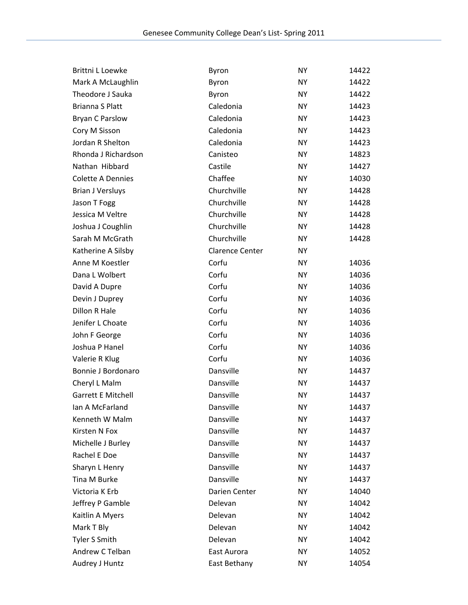| <b>Brittni L Loewke</b>   | Byron                  | <b>NY</b> | 14422 |
|---------------------------|------------------------|-----------|-------|
| Mark A McLaughlin         | Byron                  | <b>NY</b> | 14422 |
| Theodore J Sauka          | Byron                  | <b>NY</b> | 14422 |
| <b>Brianna S Platt</b>    | Caledonia              | <b>NY</b> | 14423 |
| <b>Bryan C Parslow</b>    | Caledonia              | <b>NY</b> | 14423 |
| Cory M Sisson             | Caledonia              | <b>NY</b> | 14423 |
| Jordan R Shelton          | Caledonia              | <b>NY</b> | 14423 |
| Rhonda J Richardson       | Canisteo               | <b>NY</b> | 14823 |
| Nathan Hibbard            | Castile                | <b>NY</b> | 14427 |
| <b>Colette A Dennies</b>  | Chaffee                | <b>NY</b> | 14030 |
| <b>Brian J Versluys</b>   | Churchville            | <b>NY</b> | 14428 |
| Jason T Fogg              | Churchville            | <b>NY</b> | 14428 |
| Jessica M Veltre          | Churchville            | <b>NY</b> | 14428 |
| Joshua J Coughlin         | Churchville            | <b>NY</b> | 14428 |
| Sarah M McGrath           | Churchville            | <b>NY</b> | 14428 |
| Katherine A Silsby        | <b>Clarence Center</b> | <b>NY</b> |       |
| Anne M Koestler           | Corfu                  | <b>NY</b> | 14036 |
| Dana L Wolbert            | Corfu                  | <b>NY</b> | 14036 |
| David A Dupre             | Corfu                  | <b>NY</b> | 14036 |
| Devin J Duprey            | Corfu                  | <b>NY</b> | 14036 |
| Dillon R Hale             | Corfu                  | <b>NY</b> | 14036 |
| Jenifer L Choate          | Corfu                  | <b>NY</b> | 14036 |
| John F George             | Corfu                  | <b>NY</b> | 14036 |
| Joshua P Hanel            | Corfu                  | <b>NY</b> | 14036 |
| Valerie R Klug            | Corfu                  | <b>NY</b> | 14036 |
| Bonnie J Bordonaro        | Dansville              | <b>NY</b> | 14437 |
| Cheryl L Malm             | Dansville              | <b>NY</b> | 14437 |
| <b>Garrett E Mitchell</b> | Dansville              | <b>NY</b> | 14437 |
| Ian A McFarland           | Dansville              | <b>NY</b> | 14437 |
| Kenneth W Malm            | Dansville              | ΝY        | 14437 |
| Kirsten N Fox             | Dansville              | <b>NY</b> | 14437 |
| Michelle J Burley         | Dansville              | <b>NY</b> | 14437 |
| Rachel E Doe              | Dansville              | <b>NY</b> | 14437 |
| Sharyn L Henry            | Dansville              | <b>NY</b> | 14437 |
| Tina M Burke              | Dansville              | <b>NY</b> | 14437 |
| Victoria K Erb            | Darien Center          | <b>NY</b> | 14040 |
| Jeffrey P Gamble          | Delevan                | <b>NY</b> | 14042 |
| Kaitlin A Myers           | Delevan                | <b>NY</b> | 14042 |
| Mark T Bly                | Delevan                | <b>NY</b> | 14042 |
| Tyler S Smith             | Delevan                | <b>NY</b> | 14042 |
| Andrew C Telban           | East Aurora            | NY        | 14052 |
| Audrey J Huntz            | East Bethany           | NY        | 14054 |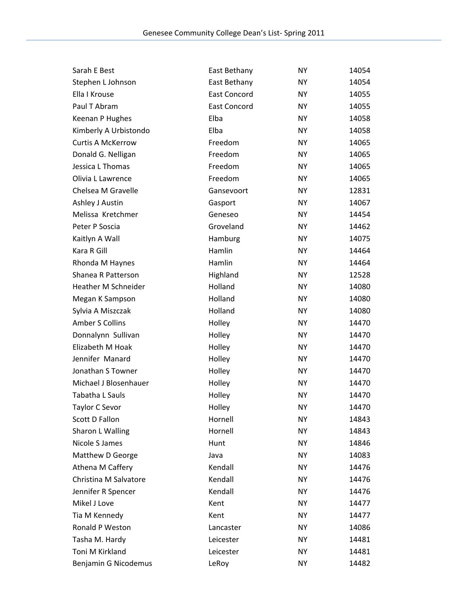| Sarah E Best               | East Bethany        | <b>NY</b> | 14054 |
|----------------------------|---------------------|-----------|-------|
| Stephen L Johnson          | East Bethany        | <b>NY</b> | 14054 |
| Ella I Krouse              | <b>East Concord</b> | <b>NY</b> | 14055 |
| Paul T Abram               | <b>East Concord</b> | <b>NY</b> | 14055 |
| Keenan P Hughes            | Elba                | <b>NY</b> | 14058 |
| Kimberly A Urbistondo      | Elba                | <b>NY</b> | 14058 |
| <b>Curtis A McKerrow</b>   | Freedom             | <b>NY</b> | 14065 |
| Donald G. Nelligan         | Freedom             | <b>NY</b> | 14065 |
| Jessica L Thomas           | Freedom             | <b>NY</b> | 14065 |
| Olivia L Lawrence          | Freedom             | <b>NY</b> | 14065 |
| Chelsea M Gravelle         | Gansevoort          | <b>NY</b> | 12831 |
| Ashley J Austin            | Gasport             | <b>NY</b> | 14067 |
| Melissa Kretchmer          | Geneseo             | <b>NY</b> | 14454 |
| Peter P Soscia             | Groveland           | <b>NY</b> | 14462 |
| Kaitlyn A Wall             | Hamburg             | <b>NY</b> | 14075 |
| Kara R Gill                | Hamlin              | <b>NY</b> | 14464 |
| Rhonda M Haynes            | Hamlin              | <b>NY</b> | 14464 |
| Shanea R Patterson         | Highland            | <b>NY</b> | 12528 |
| <b>Heather M Schneider</b> | Holland             | <b>NY</b> | 14080 |
| Megan K Sampson            | Holland             | <b>NY</b> | 14080 |
| Sylvia A Miszczak          | Holland             | <b>NY</b> | 14080 |
| <b>Amber S Collins</b>     | Holley              | <b>NY</b> | 14470 |
| Donnalynn Sullivan         | Holley              | <b>NY</b> | 14470 |
| Elizabeth M Hoak           | Holley              | <b>NY</b> | 14470 |
| Jennifer Manard            | Holley              | <b>NY</b> | 14470 |
| Jonathan S Towner          | Holley              | <b>NY</b> | 14470 |
| Michael J Blosenhauer      | Holley              | <b>NY</b> | 14470 |
| Tabatha L Sauls            | Holley              | <b>NY</b> | 14470 |
| Taylor C Sevor             | Holley              | <b>NY</b> | 14470 |
| Scott D Fallon             | Hornell             | NΥ        | 14843 |
| Sharon L Walling           | Hornell             | NY        | 14843 |
| Nicole S James             | Hunt                | <b>NY</b> | 14846 |
| Matthew D George           | Java                | <b>NY</b> | 14083 |
| Athena M Caffery           | Kendall             | <b>NY</b> | 14476 |
| Christina M Salvatore      | Kendall             | <b>NY</b> | 14476 |
| Jennifer R Spencer         | Kendall             | <b>NY</b> | 14476 |
| Mikel J Love               | Kent                | <b>NY</b> | 14477 |
| Tia M Kennedy              | Kent                | <b>NY</b> | 14477 |
| Ronald P Weston            | Lancaster           | <b>NY</b> | 14086 |
| Tasha M. Hardy             | Leicester           | <b>NY</b> | 14481 |
| Toni M Kirkland            | Leicester           | <b>NY</b> | 14481 |
| Benjamin G Nicodemus       | LeRoy               | <b>NY</b> | 14482 |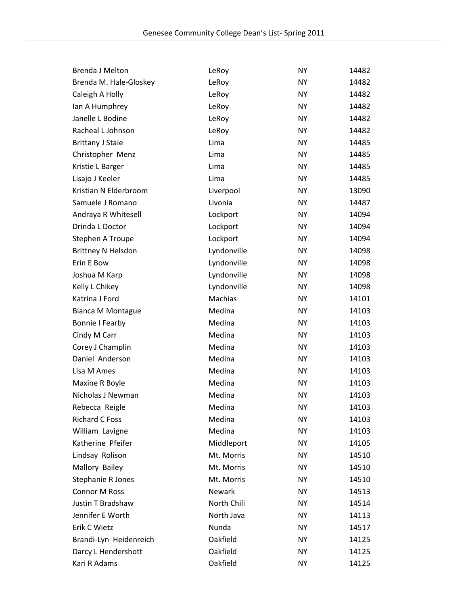| <b>Brenda J Melton</b>    | LeRoy       | <b>NY</b> | 14482 |
|---------------------------|-------------|-----------|-------|
| Brenda M. Hale-Gloskey    | LeRoy       | <b>NY</b> | 14482 |
| Caleigh A Holly           | LeRoy       | <b>NY</b> | 14482 |
| Ian A Humphrey            | LeRoy       | <b>NY</b> | 14482 |
| Janelle L Bodine          | LeRoy       | <b>NY</b> | 14482 |
| Racheal L Johnson         | LeRoy       | <b>NY</b> | 14482 |
| <b>Brittany J Staie</b>   | Lima        | <b>NY</b> | 14485 |
| Christopher Menz          | Lima        | <b>NY</b> | 14485 |
| Kristie L Barger          | Lima        | <b>NY</b> | 14485 |
| Lisajo J Keeler           | Lima        | <b>NY</b> | 14485 |
| Kristian N Elderbroom     | Liverpool   | <b>NY</b> | 13090 |
| Samuele J Romano          | Livonia     | <b>NY</b> | 14487 |
| Andraya R Whitesell       | Lockport    | <b>NY</b> | 14094 |
| Drinda L Doctor           | Lockport    | <b>NY</b> | 14094 |
| Stephen A Troupe          | Lockport    | <b>NY</b> | 14094 |
| <b>Brittney N Helsdon</b> | Lyndonville | <b>NY</b> | 14098 |
| Erin E Bow                | Lyndonville | <b>NY</b> | 14098 |
| Joshua M Karp             | Lyndonville | <b>NY</b> | 14098 |
| Kelly L Chikey            | Lyndonville | <b>NY</b> | 14098 |
| Katrina J Ford            | Machias     | <b>NY</b> | 14101 |
| <b>Bianca M Montague</b>  | Medina      | <b>NY</b> | 14103 |
| <b>Bonnie I Fearby</b>    | Medina      | <b>NY</b> | 14103 |
| Cindy M Carr              | Medina      | <b>NY</b> | 14103 |
| Corey J Champlin          | Medina      | <b>NY</b> | 14103 |
| Daniel Anderson           | Medina      | <b>NY</b> | 14103 |
| Lisa M Ames               | Medina      | <b>NY</b> | 14103 |
| Maxine R Boyle            | Medina      | <b>NY</b> | 14103 |
| Nicholas J Newman         | Medina      | <b>NY</b> | 14103 |
| Rebecca Reigle            | Medina      | <b>NY</b> | 14103 |
| <b>Richard C Foss</b>     | Medina      | NΥ        | 14103 |
| William Lavigne           | Medina      | <b>NY</b> | 14103 |
| Katherine Pfeifer         | Middleport  | <b>NY</b> | 14105 |
| Lindsay Rolison           | Mt. Morris  | <b>NY</b> | 14510 |
| Mallory Bailey            | Mt. Morris  | <b>NY</b> | 14510 |
| Stephanie R Jones         | Mt. Morris  | <b>NY</b> | 14510 |
| <b>Connor M Ross</b>      | Newark      | <b>NY</b> | 14513 |
| Justin T Bradshaw         | North Chili | <b>NY</b> | 14514 |
| Jennifer E Worth          | North Java  | <b>NY</b> | 14113 |
| Erik C Wietz              | Nunda       | <b>NY</b> | 14517 |
| Brandi-Lyn Heidenreich    | Oakfield    | <b>NY</b> | 14125 |
| Darcy L Hendershott       | Oakfield    | <b>NY</b> | 14125 |
| Kari R Adams              | Oakfield    | <b>NY</b> | 14125 |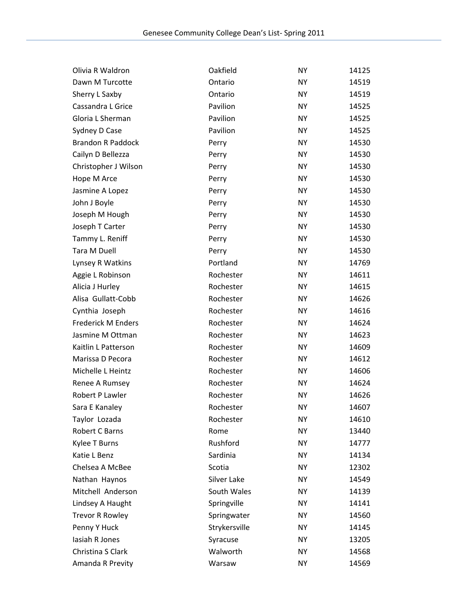| Olivia R Waldron         | Oakfield      | <b>NY</b> | 14125 |
|--------------------------|---------------|-----------|-------|
| Dawn M Turcotte          | Ontario       | <b>NY</b> | 14519 |
| Sherry L Saxby           | Ontario       | <b>NY</b> | 14519 |
| Cassandra L Grice        | Pavilion      | <b>NY</b> | 14525 |
| Gloria L Sherman         | Pavilion      | <b>NY</b> | 14525 |
| Sydney D Case            | Pavilion      | <b>NY</b> | 14525 |
| <b>Brandon R Paddock</b> | Perry         | <b>NY</b> | 14530 |
| Cailyn D Bellezza        | Perry         | <b>NY</b> | 14530 |
| Christopher J Wilson     | Perry         | <b>NY</b> | 14530 |
| Hope M Arce              | Perry         | <b>NY</b> | 14530 |
| Jasmine A Lopez          | Perry         | <b>NY</b> | 14530 |
| John J Boyle             | Perry         | <b>NY</b> | 14530 |
| Joseph M Hough           | Perry         | <b>NY</b> | 14530 |
| Joseph T Carter          | Perry         | <b>NY</b> | 14530 |
| Tammy L. Reniff          | Perry         | <b>NY</b> | 14530 |
| Tara M Duell             | Perry         | <b>NY</b> | 14530 |
| Lynsey R Watkins         | Portland      | <b>NY</b> | 14769 |
| Aggie L Robinson         | Rochester     | <b>NY</b> | 14611 |
| Alicia J Hurley          | Rochester     | <b>NY</b> | 14615 |
| Alisa Gullatt-Cobb       | Rochester     | <b>NY</b> | 14626 |
| Cynthia Joseph           | Rochester     | <b>NY</b> | 14616 |
| Frederick M Enders       | Rochester     | <b>NY</b> | 14624 |
| Jasmine M Ottman         | Rochester     | <b>NY</b> | 14623 |
| Kaitlin L Patterson      | Rochester     | <b>NY</b> | 14609 |
| Marissa D Pecora         | Rochester     | <b>NY</b> | 14612 |
| Michelle L Heintz        | Rochester     | <b>NY</b> | 14606 |
| Renee A Rumsey           | Rochester     | <b>NY</b> | 14624 |
| Robert P Lawler          | Rochester     | <b>NY</b> | 14626 |
| Sara E Kanaley           | Rochester     | <b>NY</b> | 14607 |
| Taylor Lozada            | Rochester     | ΝY        | 14610 |
| Robert C Barns           | Rome          | <b>NY</b> | 13440 |
| Kylee T Burns            | Rushford      | <b>NY</b> | 14777 |
| Katie L Benz             | Sardinia      | <b>NY</b> | 14134 |
| Chelsea A McBee          | Scotia        | <b>NY</b> | 12302 |
| Nathan Haynos            | Silver Lake   | <b>NY</b> | 14549 |
| Mitchell Anderson        | South Wales   | <b>NY</b> | 14139 |
| Lindsey A Haught         | Springville   | <b>NY</b> | 14141 |
| <b>Trevor R Rowley</b>   | Springwater   | ΝY        | 14560 |
| Penny Y Huck             | Strykersville | <b>NY</b> | 14145 |
| lasiah R Jones           | Syracuse      | <b>NY</b> | 13205 |
| Christina S Clark        | Walworth      | <b>NY</b> | 14568 |
| Amanda R Previty         | Warsaw        | <b>NY</b> | 14569 |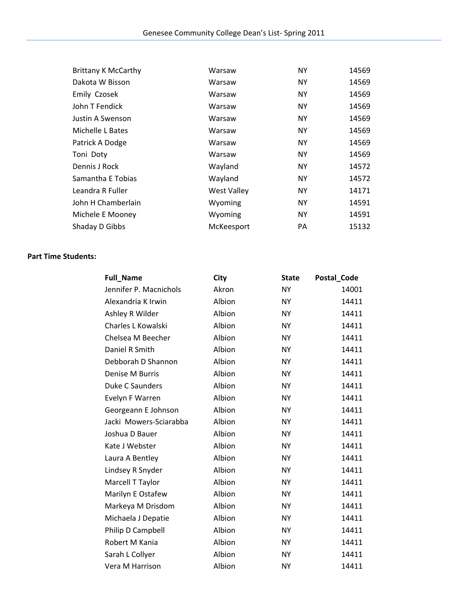| <b>Brittany K McCarthy</b> | Warsaw             | <b>NY</b> | 14569 |
|----------------------------|--------------------|-----------|-------|
| Dakota W Bisson            | Warsaw             | <b>NY</b> | 14569 |
| Emily Czosek               | Warsaw             | <b>NY</b> | 14569 |
| John T Fendick             | Warsaw             | <b>NY</b> | 14569 |
| Justin A Swenson           | Warsaw             | <b>NY</b> | 14569 |
| Michelle L Bates           | Warsaw             | <b>NY</b> | 14569 |
| Patrick A Dodge            | Warsaw             | NY.       | 14569 |
| Toni Doty                  | Warsaw             | <b>NY</b> | 14569 |
| Dennis J Rock              | Wayland            | <b>NY</b> | 14572 |
| Samantha E Tobias          | Wayland            | <b>NY</b> | 14572 |
| Leandra R Fuller           | <b>West Valley</b> | <b>NY</b> | 14171 |
| John H Chamberlain         | Wyoming            | <b>NY</b> | 14591 |
| Michele E Mooney           | Wyoming            | <b>NY</b> | 14591 |
| Shaday D Gibbs             | McKeesport         | PA        | 15132 |

## **Part Time Students:**

| <b>Full_Name</b>       | City   | <b>State</b> | Postal_Code |
|------------------------|--------|--------------|-------------|
| Jennifer P. Macnichols | Akron  | <b>NY</b>    | 14001       |
| Alexandria K Irwin     | Albion | <b>NY</b>    | 14411       |
| Ashley R Wilder        | Albion | <b>NY</b>    | 14411       |
| Charles L Kowalski     | Albion | <b>NY</b>    | 14411       |
| Chelsea M Beecher      | Albion | <b>NY</b>    | 14411       |
| Daniel R Smith         | Albion | <b>NY</b>    | 14411       |
| Debborah D Shannon     | Albion | <b>NY</b>    | 14411       |
| Denise M Burris        | Albion | <b>NY</b>    | 14411       |
| Duke C Saunders        | Albion | <b>NY</b>    | 14411       |
| Evelyn F Warren        | Albion | <b>NY</b>    | 14411       |
| Georgeann E Johnson    | Albion | <b>NY</b>    | 14411       |
| Jacki Mowers-Sciarabba | Albion | <b>NY</b>    | 14411       |
| Joshua D Bauer         | Albion | <b>NY</b>    | 14411       |
| Kate J Webster         | Albion | <b>NY</b>    | 14411       |
| Laura A Bentley        | Albion | <b>NY</b>    | 14411       |
| Lindsey R Snyder       | Albion | <b>NY</b>    | 14411       |
| Marcell T Taylor       | Albion | <b>NY</b>    | 14411       |
| Marilyn E Ostafew      | Albion | <b>NY</b>    | 14411       |
| Markeya M Drisdom      | Albion | <b>NY</b>    | 14411       |
| Michaela J Depatie     | Albion | <b>NY</b>    | 14411       |
| Philip D Campbell      | Albion | <b>NY</b>    | 14411       |
| Robert M Kania         | Albion | <b>NY</b>    | 14411       |
| Sarah L Collyer        | Albion | <b>NY</b>    | 14411       |
| Vera M Harrison        | Albion | <b>NY</b>    | 14411       |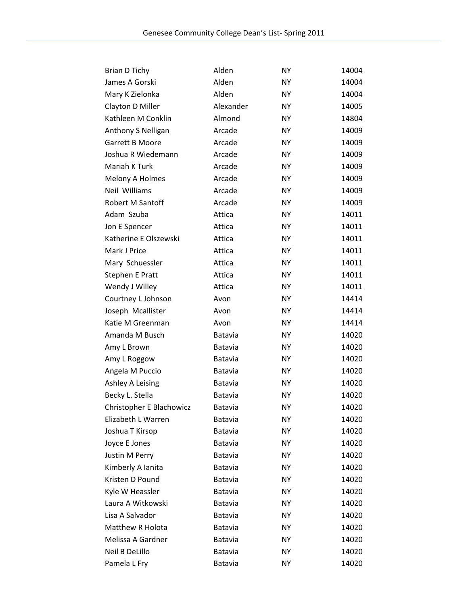| <b>Brian D Tichy</b>     | Alden          | <b>NY</b> | 14004 |
|--------------------------|----------------|-----------|-------|
| James A Gorski           | Alden          | <b>NY</b> | 14004 |
| Mary K Zielonka          | Alden          | <b>NY</b> | 14004 |
| Clayton D Miller         | Alexander      | <b>NY</b> | 14005 |
| Kathleen M Conklin       | Almond         | <b>NY</b> | 14804 |
| Anthony S Nelligan       | Arcade         | <b>NY</b> | 14009 |
| <b>Garrett B Moore</b>   | Arcade         | <b>NY</b> | 14009 |
| Joshua R Wiedemann       | Arcade         | <b>NY</b> | 14009 |
| Mariah K Turk            | Arcade         | <b>NY</b> | 14009 |
| Melony A Holmes          | Arcade         | <b>NY</b> | 14009 |
| Neil Williams            | Arcade         | <b>NY</b> | 14009 |
| Robert M Santoff         | Arcade         | <b>NY</b> | 14009 |
| Adam Szuba               | Attica         | <b>NY</b> | 14011 |
| Jon E Spencer            | Attica         | <b>NY</b> | 14011 |
| Katherine E Olszewski    | Attica         | <b>NY</b> | 14011 |
| Mark J Price             | Attica         | <b>NY</b> | 14011 |
| Mary Schuessler          | Attica         | <b>NY</b> | 14011 |
| <b>Stephen E Pratt</b>   | Attica         | <b>NY</b> | 14011 |
| Wendy J Willey           | Attica         | <b>NY</b> | 14011 |
| Courtney L Johnson       | Avon           | <b>NY</b> | 14414 |
| Joseph Mcallister        | Avon           | <b>NY</b> | 14414 |
| Katie M Greenman         | Avon           | <b>NY</b> | 14414 |
| Amanda M Busch           | Batavia        | <b>NY</b> | 14020 |
| Amy L Brown              | Batavia        | <b>NY</b> | 14020 |
| Amy L Roggow             | Batavia        | <b>NY</b> | 14020 |
| Angela M Puccio          | Batavia        | <b>NY</b> | 14020 |
| <b>Ashley A Leising</b>  | Batavia        | <b>NY</b> | 14020 |
| Becky L. Stella          | Batavia        | <b>NY</b> | 14020 |
| Christopher E Blachowicz | Batavia        | <b>NY</b> | 14020 |
| Elizabeth L Warren       | <b>Batavia</b> | NΥ        | 14020 |
| Joshua T Kirsop          | Batavia        | <b>NY</b> | 14020 |
| Joyce E Jones            | Batavia        | <b>NY</b> | 14020 |
| Justin M Perry           | <b>Batavia</b> | <b>NY</b> | 14020 |
| Kimberly A lanita        | <b>Batavia</b> | <b>NY</b> | 14020 |
| Kristen D Pound          | Batavia        | NΥ        | 14020 |
| Kyle W Heassler          | Batavia        | <b>NY</b> | 14020 |
| Laura A Witkowski        | Batavia        | <b>NY</b> | 14020 |
| Lisa A Salvador          | Batavia        | <b>NY</b> | 14020 |
| Matthew R Holota         | <b>Batavia</b> | <b>NY</b> | 14020 |
| Melissa A Gardner        | <b>Batavia</b> | <b>NY</b> | 14020 |
| Neil B DeLillo           | Batavia        | NΥ        | 14020 |
| Pamela L Fry             | Batavia        | <b>NY</b> | 14020 |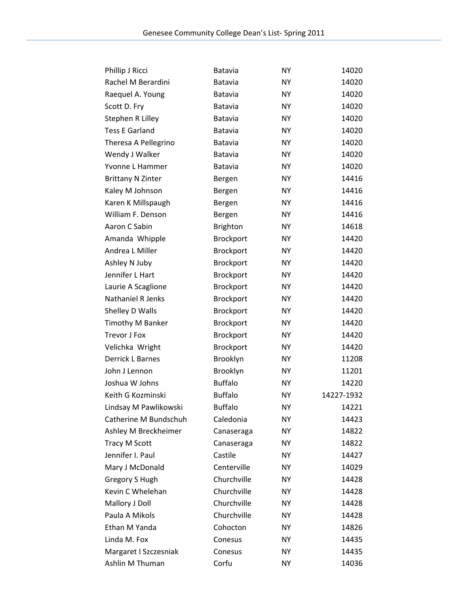| Phillip J Ricci          | <b>Batavia</b>   | <b>NY</b> | 14020      |
|--------------------------|------------------|-----------|------------|
| Rachel M Berardini       | Batavia          | <b>NY</b> | 14020      |
| Raequel A. Young         | Batavia          | <b>NY</b> | 14020      |
| Scott D. Fry             | Batavia          | <b>NY</b> | 14020      |
| Stephen R Lilley         | Batavia          | <b>NY</b> | 14020      |
| <b>Tess E Garland</b>    | Batavia          | <b>NY</b> | 14020      |
| Theresa A Pellegrino     | Batavia          | <b>NY</b> | 14020      |
| Wendy J Walker           | Batavia          | <b>NY</b> | 14020      |
| Yvonne L Hammer          | Batavia          | <b>NY</b> | 14020      |
| <b>Brittany N Zinter</b> | Bergen           | <b>NY</b> | 14416      |
| Kaley M Johnson          | Bergen           | <b>NY</b> | 14416      |
| Karen K Millspaugh       | Bergen           | <b>NY</b> | 14416      |
| William F. Denson        | Bergen           | <b>NY</b> | 14416      |
| Aaron C Sabin            | <b>Brighton</b>  | <b>NY</b> | 14618      |
| Amanda Whipple           | <b>Brockport</b> | <b>NY</b> | 14420      |
| Andrea L Miller          | <b>Brockport</b> | <b>NY</b> | 14420      |
| Ashley N Juby            | <b>Brockport</b> | NY.       | 14420      |
| Jennifer L Hart          | Brockport        | <b>NY</b> | 14420      |
| Laurie A Scaglione       | Brockport        | <b>NY</b> | 14420      |
| Nathaniel R Jenks        | <b>Brockport</b> | ΝY        | 14420      |
| Shelley D Walls          | Brockport        | <b>NY</b> | 14420      |
| Timothy M Banker         | Brockport        | <b>NY</b> | 14420      |
| Trevor J Fox             | <b>Brockport</b> | ΝY        | 14420      |
| Velichka Wright          | Brockport        | <b>NY</b> | 14420      |
| Derrick L Barnes         | Brooklyn         | <b>NY</b> | 11208      |
| John J Lennon            | Brooklyn         | <b>NY</b> | 11201      |
| Joshua W Johns           | <b>Buffalo</b>   | <b>NY</b> | 14220      |
| Keith G Kozminski        | <b>Buffalo</b>   | <b>NY</b> | 14227-1932 |
| Lindsay M Pawlikowski    | <b>Buffalo</b>   | NY        | 14221      |
| Catherine M Bundschuh    | Caledonia        | NΥ        | 14423      |
| Ashley M Breckheimer     | Canaseraga       | <b>NY</b> | 14822      |
| <b>Tracy M Scott</b>     | Canaseraga       | <b>NY</b> | 14822      |
| Jennifer I. Paul         | Castile          | <b>NY</b> | 14427      |
| Mary J McDonald          | Centerville      | <b>NY</b> | 14029      |
| Gregory S Hugh           | Churchville      | <b>NY</b> | 14428      |
| Kevin C Whelehan         | Churchville      | <b>NY</b> | 14428      |
| Mallory J Doll           | Churchville      | <b>NY</b> | 14428      |
| Paula A Mikols           | Churchville      | <b>NY</b> | 14428      |
| Ethan M Yanda            | Cohocton         | <b>NY</b> | 14826      |
| Linda M. Fox             | Conesus          | <b>NY</b> | 14435      |
| Margaret I Szczesniak    | Conesus          | NΥ        | 14435      |
| Ashlin M Thuman          | Corfu            | <b>NY</b> | 14036      |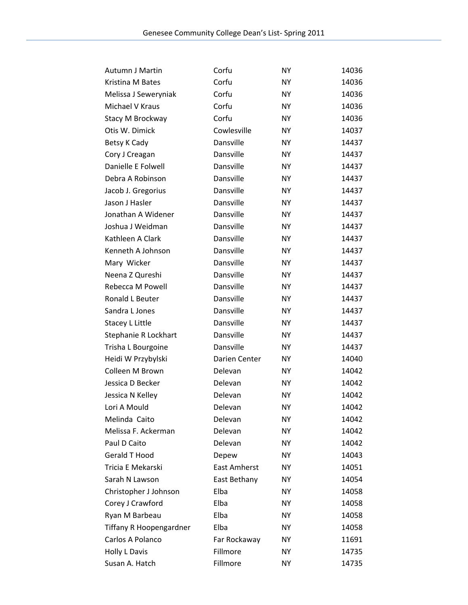| Autumn J Martin                | Corfu               | NY        | 14036 |
|--------------------------------|---------------------|-----------|-------|
| Kristina M Bates               | Corfu               | <b>NY</b> | 14036 |
| Melissa J Seweryniak           | Corfu               | <b>NY</b> | 14036 |
| Michael V Kraus                | Corfu               | <b>NY</b> | 14036 |
| Stacy M Brockway               | Corfu               | <b>NY</b> | 14036 |
| Otis W. Dimick                 | Cowlesville         | <b>NY</b> | 14037 |
| Betsy K Cady                   | Dansville           | <b>NY</b> | 14437 |
| Cory J Creagan                 | Dansville           | <b>NY</b> | 14437 |
| Danielle E Folwell             | Dansville           | <b>NY</b> | 14437 |
| Debra A Robinson               | Dansville           | <b>NY</b> | 14437 |
| Jacob J. Gregorius             | Dansville           | <b>NY</b> | 14437 |
| Jason J Hasler                 | Dansville           | <b>NY</b> | 14437 |
| Jonathan A Widener             | Dansville           | <b>NY</b> | 14437 |
| Joshua J Weidman               | Dansville           | <b>NY</b> | 14437 |
| Kathleen A Clark               | Dansville           | <b>NY</b> | 14437 |
| Kenneth A Johnson              | Dansville           | <b>NY</b> | 14437 |
| Mary Wicker                    | Dansville           | <b>NY</b> | 14437 |
| Neena Z Qureshi                | Dansville           | <b>NY</b> | 14437 |
| Rebecca M Powell               | Dansville           | <b>NY</b> | 14437 |
| Ronald L Beuter                | Dansville           | <b>NY</b> | 14437 |
| Sandra L Jones                 | Dansville           | <b>NY</b> | 14437 |
| <b>Stacey L Little</b>         | Dansville           | <b>NY</b> | 14437 |
| Stephanie R Lockhart           | Dansville           | <b>NY</b> | 14437 |
| Trisha L Bourgoine             | Dansville           | <b>NY</b> | 14437 |
| Heidi W Przybylski             | Darien Center       | <b>NY</b> | 14040 |
| Colleen M Brown                | Delevan             | <b>NY</b> | 14042 |
| Jessica D Becker               | Delevan             | <b>NY</b> | 14042 |
| Jessica N Kelley               | Delevan             | <b>NY</b> | 14042 |
| Lori A Mould                   | Delevan             | <b>NY</b> | 14042 |
| Melinda Caito                  | Delevan             | NΥ        | 14042 |
| Melissa F. Ackerman            | Delevan             | <b>NY</b> | 14042 |
| Paul D Caito                   | Delevan             | ΝY        | 14042 |
| <b>Gerald T Hood</b>           | Depew               | <b>NY</b> | 14043 |
| Tricia E Mekarski              | <b>East Amherst</b> | <b>NY</b> | 14051 |
| Sarah N Lawson                 | East Bethany        | NΥ        | 14054 |
| Christopher J Johnson          | Elba                | <b>NY</b> | 14058 |
| Corey J Crawford               | Elba                | NY        | 14058 |
| Ryan M Barbeau                 | Elba                | <b>NY</b> | 14058 |
| <b>Tiffany R Hoopengardner</b> | Elba                | <b>NY</b> | 14058 |
| Carlos A Polanco               | Far Rockaway        | <b>NY</b> | 11691 |
| Holly L Davis                  | Fillmore            | NΥ        | 14735 |
| Susan A. Hatch                 | Fillmore            | <b>NY</b> | 14735 |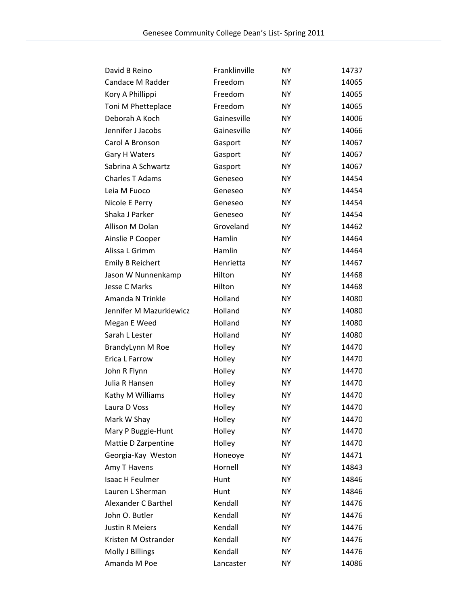| David B Reino           | Franklinville | <b>NY</b> | 14737 |
|-------------------------|---------------|-----------|-------|
| Candace M Radder        | Freedom       | <b>NY</b> | 14065 |
| Kory A Phillippi        | Freedom       | <b>NY</b> | 14065 |
| Toni M Phetteplace      | Freedom       | <b>NY</b> | 14065 |
| Deborah A Koch          | Gainesville   | <b>NY</b> | 14006 |
| Jennifer J Jacobs       | Gainesville   | <b>NY</b> | 14066 |
| Carol A Bronson         | Gasport       | <b>NY</b> | 14067 |
| <b>Gary H Waters</b>    | Gasport       | <b>NY</b> | 14067 |
| Sabrina A Schwartz      | Gasport       | <b>NY</b> | 14067 |
| Charles T Adams         | Geneseo       | <b>NY</b> | 14454 |
| Leia M Fuoco            | Geneseo       | <b>NY</b> | 14454 |
| Nicole E Perry          | Geneseo       | <b>NY</b> | 14454 |
| Shaka J Parker          | Geneseo       | <b>NY</b> | 14454 |
| Allison M Dolan         | Groveland     | <b>NY</b> | 14462 |
| Ainslie P Cooper        | Hamlin        | <b>NY</b> | 14464 |
| Alissa L Grimm          | Hamlin        | <b>NY</b> | 14464 |
| <b>Emily B Reichert</b> | Henrietta     | <b>NY</b> | 14467 |
| Jason W Nunnenkamp      | Hilton        | <b>NY</b> | 14468 |
| <b>Jesse C Marks</b>    | Hilton        | <b>NY</b> | 14468 |
| Amanda N Trinkle        | Holland       | <b>NY</b> | 14080 |
| Jennifer M Mazurkiewicz | Holland       | <b>NY</b> | 14080 |
| Megan E Weed            | Holland       | <b>NY</b> | 14080 |
| Sarah L Lester          | Holland       | <b>NY</b> | 14080 |
| BrandyLynn M Roe        | Holley        | <b>NY</b> | 14470 |
| Erica L Farrow          | Holley        | <b>NY</b> | 14470 |
| John R Flynn            | Holley        | <b>NY</b> | 14470 |
| Julia R Hansen          | Holley        | <b>NY</b> | 14470 |
| Kathy M Williams        | Holley        | <b>NY</b> | 14470 |
| Laura D Voss            | Holley        | <b>NY</b> | 14470 |
| Mark W Shay             | Holley        | <b>NY</b> | 14470 |
| Mary P Buggie-Hunt      | Holley        | <b>NY</b> | 14470 |
| Mattie D Zarpentine     | Holley        | <b>NY</b> | 14470 |
| Georgia-Kay Weston      | Honeoye       | <b>NY</b> | 14471 |
| Amy T Havens            | Hornell       | <b>NY</b> | 14843 |
| Isaac H Feulmer         | Hunt          | <b>NY</b> | 14846 |
| Lauren L Sherman        | Hunt          | <b>NY</b> | 14846 |
| Alexander C Barthel     | Kendall       | <b>NY</b> | 14476 |
| John O. Butler          | Kendall       | <b>NY</b> | 14476 |
| <b>Justin R Meiers</b>  | Kendall       | <b>NY</b> | 14476 |
| Kristen M Ostrander     | Kendall       | <b>NY</b> | 14476 |
| Molly J Billings        | Kendall       | <b>NY</b> | 14476 |
| Amanda M Poe            | Lancaster     | <b>NY</b> | 14086 |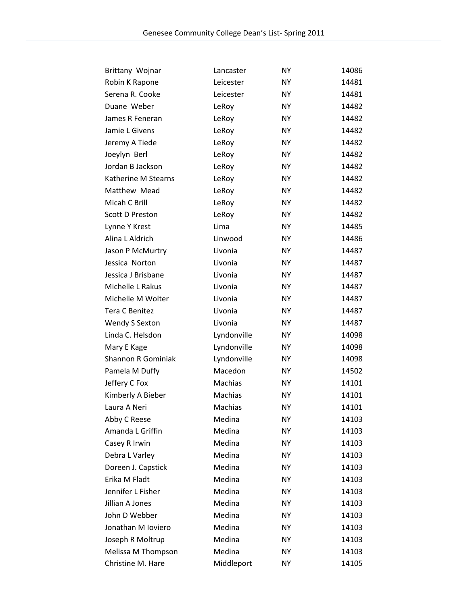| Brittany Wojnar           | Lancaster   | NY        | 14086 |
|---------------------------|-------------|-----------|-------|
| Robin K Rapone            | Leicester   | <b>NY</b> | 14481 |
| Serena R. Cooke           | Leicester   | <b>NY</b> | 14481 |
| Duane Weber               | LeRoy       | <b>NY</b> | 14482 |
| James R Feneran           | LeRoy       | <b>NY</b> | 14482 |
| Jamie L Givens            | LeRoy       | <b>NY</b> | 14482 |
| Jeremy A Tiede            | LeRoy       | <b>NY</b> | 14482 |
| Joeylyn Berl              | LeRoy       | <b>NY</b> | 14482 |
| Jordan B Jackson          | LeRoy       | <b>NY</b> | 14482 |
| Katherine M Stearns       | LeRoy       | <b>NY</b> | 14482 |
| Matthew Mead              | LeRoy       | <b>NY</b> | 14482 |
| Micah C Brill             | LeRoy       | <b>NY</b> | 14482 |
| <b>Scott D Preston</b>    | LeRoy       | <b>NY</b> | 14482 |
| Lynne Y Krest             | Lima        | <b>NY</b> | 14485 |
| Alina L Aldrich           | Linwood     | <b>NY</b> | 14486 |
| Jason P McMurtry          | Livonia     | <b>NY</b> | 14487 |
| Jessica Norton            | Livonia     | <b>NY</b> | 14487 |
| Jessica J Brisbane        | Livonia     | <b>NY</b> | 14487 |
| Michelle L Rakus          | Livonia     | <b>NY</b> | 14487 |
| Michelle M Wolter         | Livonia     | <b>NY</b> | 14487 |
| <b>Tera C Benitez</b>     | Livonia     | <b>NY</b> | 14487 |
| Wendy S Sexton            | Livonia     | <b>NY</b> | 14487 |
| Linda C. Helsdon          | Lyndonville | <b>NY</b> | 14098 |
| Mary E Kage               | Lyndonville | <b>NY</b> | 14098 |
| <b>Shannon R Gominiak</b> | Lyndonville | <b>NY</b> | 14098 |
| Pamela M Duffy            | Macedon     | <b>NY</b> | 14502 |
| Jeffery C Fox             | Machias     | <b>NY</b> | 14101 |
| Kimberly A Bieber         | Machias     | <b>NY</b> | 14101 |
| Laura A Neri              | Machias     | <b>NY</b> | 14101 |
| Abby C Reese              | Medina      | NΥ        | 14103 |
| Amanda L Griffin          | Medina      | NY        | 14103 |
| Casey R Irwin             | Medina      | <b>NY</b> | 14103 |
| Debra L Varley            | Medina      | <b>NY</b> | 14103 |
| Doreen J. Capstick        | Medina      | <b>NY</b> | 14103 |
| Erika M Fladt             | Medina      | <b>NY</b> | 14103 |
| Jennifer L Fisher         | Medina      | <b>NY</b> | 14103 |
| Jillian A Jones           | Medina      | <b>NY</b> | 14103 |
| John D Webber             | Medina      | <b>NY</b> | 14103 |
| Jonathan M Ioviero        | Medina      | <b>NY</b> | 14103 |
| Joseph R Moltrup          | Medina      | <b>NY</b> | 14103 |
| Melissa M Thompson        | Medina      | <b>NY</b> | 14103 |
| Christine M. Hare         | Middleport  | NY        | 14105 |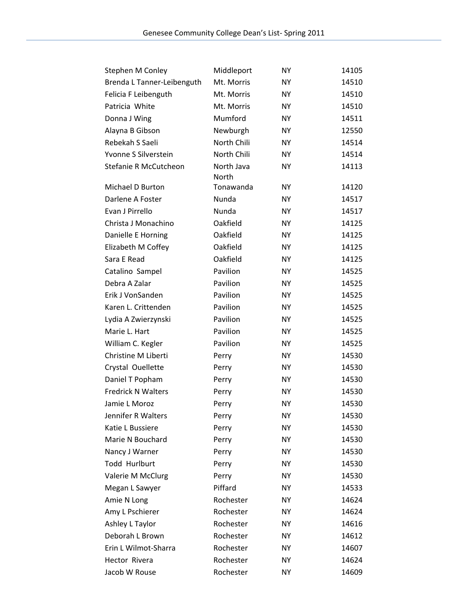| Stephen M Conley           | Middleport  | NY        | 14105 |
|----------------------------|-------------|-----------|-------|
| Brenda L Tanner-Leibenguth | Mt. Morris  | NΥ        | 14510 |
| Felicia F Leibenguth       | Mt. Morris  | <b>NY</b> | 14510 |
| Patricia White             | Mt. Morris  | <b>NY</b> | 14510 |
| Donna J Wing               | Mumford     | <b>NY</b> | 14511 |
| Alayna B Gibson            | Newburgh    | NY        | 12550 |
| Rebekah S Saeli            | North Chili | NΥ        | 14514 |
| Yvonne S Silverstein       | North Chili | NY        | 14514 |
| Stefanie R McCutcheon      | North Java  | <b>NY</b> | 14113 |
|                            | North       |           |       |
| Michael D Burton           | Tonawanda   | <b>NY</b> | 14120 |
| Darlene A Foster           | Nunda       | <b>NY</b> | 14517 |
| Evan J Pirrello            | Nunda       | <b>NY</b> | 14517 |
| Christa J Monachino        | Oakfield    | <b>NY</b> | 14125 |
| Danielle E Horning         | Oakfield    | <b>NY</b> | 14125 |
| Elizabeth M Coffey         | Oakfield    | <b>NY</b> | 14125 |
| Sara E Read                | Oakfield    | <b>NY</b> | 14125 |
| Catalino Sampel            | Pavilion    | <b>NY</b> | 14525 |
| Debra A Zalar              | Pavilion    | <b>NY</b> | 14525 |
| Erik J VonSanden           | Pavilion    | <b>NY</b> | 14525 |
| Karen L. Crittenden        | Pavilion    | <b>NY</b> | 14525 |
| Lydia A Zwierzynski        | Pavilion    | <b>NY</b> | 14525 |
| Marie L. Hart              | Pavilion    | <b>NY</b> | 14525 |
| William C. Kegler          | Pavilion    | NY        | 14525 |
| Christine M Liberti        | Perry       | <b>NY</b> | 14530 |
| Crystal Ouellette          | Perry       | <b>NY</b> | 14530 |
| Daniel T Popham            | Perry       | <b>NY</b> | 14530 |
| <b>Fredrick N Walters</b>  | Perry       | NY        | 14530 |
| Jamie L Moroz              | Perry       | <b>NY</b> | 14530 |
| Jennifer R Walters         | Perry       | <b>NY</b> | 14530 |
| Katie L Bussiere           | Perry       | <b>NY</b> | 14530 |
| Marie N Bouchard           | Perry       | <b>NY</b> | 14530 |
| Nancy J Warner             | Perry       | <b>NY</b> | 14530 |
| Todd Hurlburt              | Perry       | <b>NY</b> | 14530 |
| Valerie M McClurg          | Perry       | NY        | 14530 |
| Megan L Sawyer             | Piffard     | NY        | 14533 |
| Amie N Long                | Rochester   | NY        | 14624 |
| Amy L Pschierer            | Rochester   | NY        | 14624 |
| Ashley L Taylor            | Rochester   | ΝY        | 14616 |
| Deborah L Brown            | Rochester   | <b>NY</b> | 14612 |
| Erin L Wilmot-Sharra       | Rochester   | NY        | 14607 |
| Hector Rivera              | Rochester   | NΥ        | 14624 |
| Jacob W Rouse              | Rochester   | <b>NY</b> | 14609 |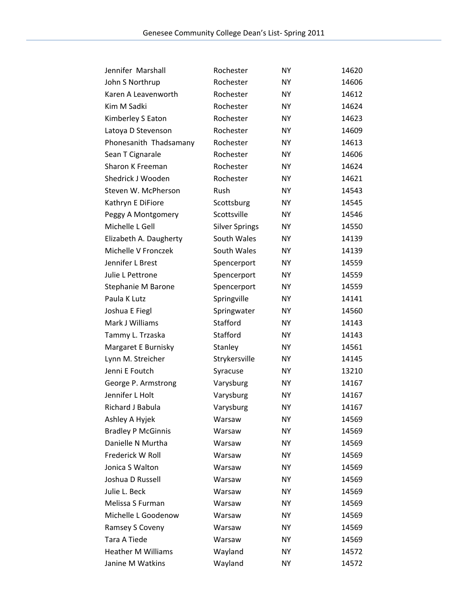| Jennifer Marshall         | Rochester             | <b>NY</b> | 14620 |
|---------------------------|-----------------------|-----------|-------|
| John S Northrup           | Rochester             | <b>NY</b> | 14606 |
| Karen A Leavenworth       | Rochester             | <b>NY</b> | 14612 |
| Kim M Sadki               | Rochester             | <b>NY</b> | 14624 |
| Kimberley S Eaton         | Rochester             | <b>NY</b> | 14623 |
| Latoya D Stevenson        | Rochester             | <b>NY</b> | 14609 |
| Phonesanith Thadsamany    | Rochester             | <b>NY</b> | 14613 |
| Sean T Cignarale          | Rochester             | <b>NY</b> | 14606 |
| Sharon K Freeman          | Rochester             | <b>NY</b> | 14624 |
| Shedrick J Wooden         | Rochester             | <b>NY</b> | 14621 |
| Steven W. McPherson       | Rush                  | <b>NY</b> | 14543 |
| Kathryn E DiFiore         | Scottsburg            | <b>NY</b> | 14545 |
| Peggy A Montgomery        | Scottsville           | <b>NY</b> | 14546 |
| Michelle L Gell           | <b>Silver Springs</b> | <b>NY</b> | 14550 |
| Elizabeth A. Daugherty    | South Wales           | <b>NY</b> | 14139 |
| Michelle V Fronczek       | South Wales           | <b>NY</b> | 14139 |
| Jennifer L Brest          | Spencerport           | <b>NY</b> | 14559 |
| Julie L Pettrone          | Spencerport           | <b>NY</b> | 14559 |
| Stephanie M Barone        | Spencerport           | <b>NY</b> | 14559 |
| Paula K Lutz              | Springville           | <b>NY</b> | 14141 |
| Joshua E Fiegl            | Springwater           | <b>NY</b> | 14560 |
| Mark J Williams           | Stafford              | <b>NY</b> | 14143 |
| Tammy L. Trzaska          | Stafford              | <b>NY</b> | 14143 |
| Margaret E Burnisky       | Stanley               | <b>NY</b> | 14561 |
| Lynn M. Streicher         | Strykersville         | <b>NY</b> | 14145 |
| Jenni E Foutch            | Syracuse              | <b>NY</b> | 13210 |
| George P. Armstrong       | Varysburg             | <b>NY</b> | 14167 |
| Jennifer L Holt           | Varysburg             | <b>NY</b> | 14167 |
| Richard J Babula          | Varysburg             | <b>NY</b> | 14167 |
| Ashley A Hyjek            | Warsaw                | NΥ        | 14569 |
| <b>Bradley P McGinnis</b> | Warsaw                | <b>NY</b> | 14569 |
| Danielle N Murtha         | Warsaw                | <b>NY</b> | 14569 |
| Frederick W Roll          | Warsaw                | <b>NY</b> | 14569 |
| Jonica S Walton           | Warsaw                | <b>NY</b> | 14569 |
| Joshua D Russell          | Warsaw                | <b>NY</b> | 14569 |
| Julie L. Beck             | Warsaw                | <b>NY</b> | 14569 |
| Melissa S Furman          | Warsaw                | <b>NY</b> | 14569 |
| Michelle L Goodenow       | Warsaw                | NΥ        | 14569 |
| Ramsey S Coveny           | Warsaw                | <b>NY</b> | 14569 |
| Tara A Tiede              | Warsaw                | <b>NY</b> | 14569 |
| <b>Heather M Williams</b> | Wayland               | <b>NY</b> | 14572 |
| Janine M Watkins          | Wayland               | <b>NY</b> | 14572 |